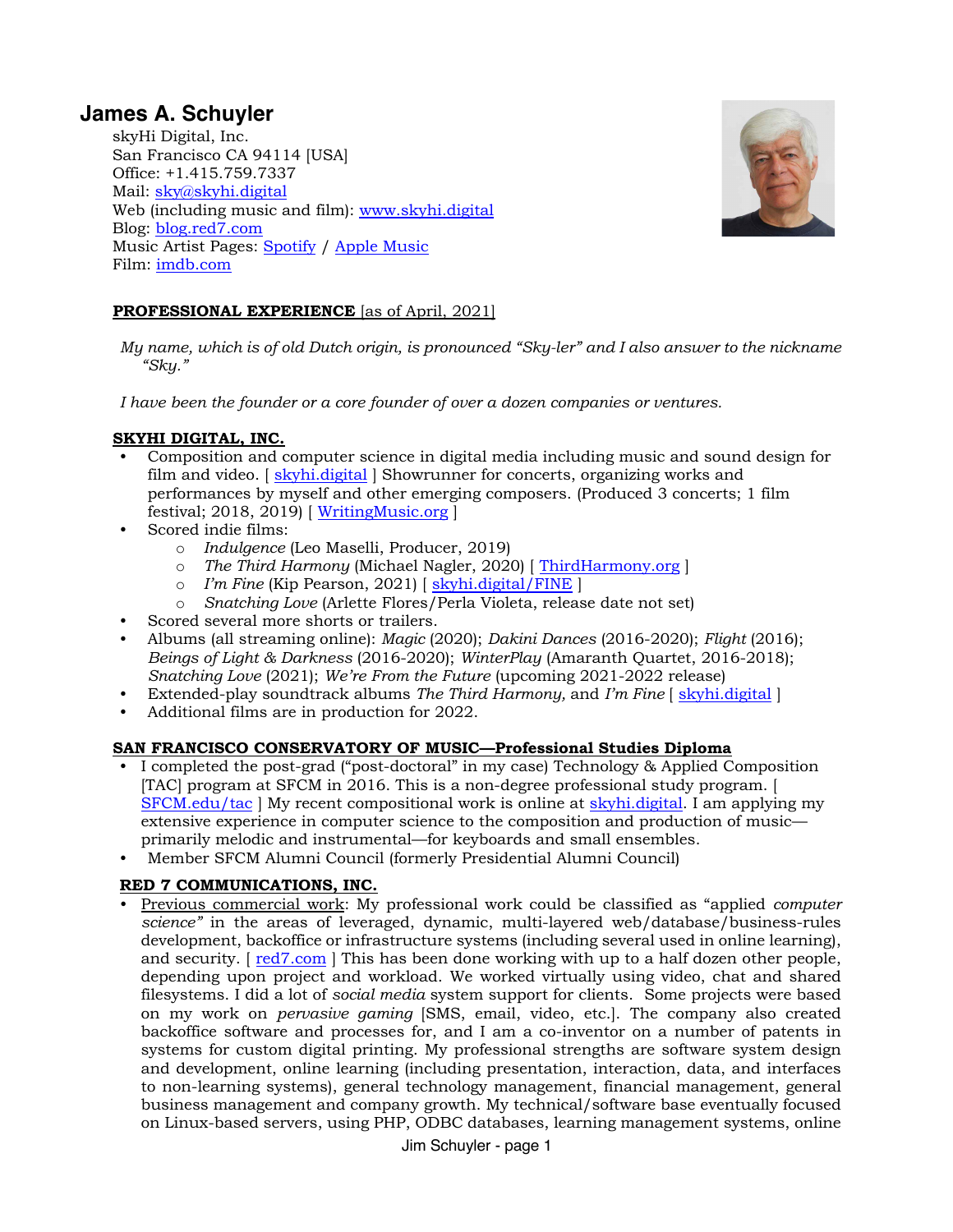# **James A. Schuyler**

skyHi Digital, Inc. San Francisco CA 94114 [USA] Office: +1.415.759.7337 Mail: [sky@skyhi.digital](mailto:sky@skyhi.digital) Web (including music and film): [www.skyhi.digital](http://www.skyhi.digital) Blog: [blog.red7.com](https://blog.red7.com/) Music Artist Pages: [Spotify](https://open.spotify.com/artist/6sv3kFvDeFX7AGITLIT3QH?si=9jsAofAGQaGlWyQpqKNUNg) [/ Apple Music](https://music.apple.com/us/artist/jim-schuyler/1536664900) Film[: imdb.com](https://www.imdb.com/name/nm11866436/)



# **PROFESSIONAL EXPERIENCE** [as of April, 2021]

*My name, which is of old Dutch origin, is pronounced "Sky-ler" and I also answer to the nickname "Sky."*

*I have been the founder or a core founder of over a dozen companies or ventures.*

### **SKYHI DIGITAL, INC.**

- Composition and computer science in digital media including music and sound design for film and video. [ [skyhi.digital](https://skyhi.digital/) ] Showrunner for concerts, organizing works and performances by myself and other emerging composers. (Produced 3 concerts; 1 film festival; 2018, 2019)  $\left[\frac{\text{WritingMusic.org}}{\text{WritingMusic.org}}\right]$  $\left[\frac{\text{WritingMusic.org}}{\text{WritingMusic.org}}\right]$  $\left[\frac{\text{WritingMusic.org}}{\text{WritingMusic.org}}\right]$
- Scored indie films:
	- o *Indulgence* (Leo Maselli, Producer, 2019)
	- o *The Third Harmony* (Michael Nagler, 2020) [ [ThirdHarmony.org](https://thirdharmony.org/) ]
	- o *I'm Fine* (Kip Pearson, 2021) [ [skyhi.digital/FINE](https://skyhi.digital/FINE) ]
	- o *Snatching Love* (Arlette Flores/Perla Violeta, release date not set)
- Scored several more shorts or trailers.
- Albums (all streaming online): *Magic* (2020); *Dakini Dances* (2016-2020); *Flight* (2016); *Beings of Light & Darkness* (2016-2020); *WinterPlay* (Amaranth Quartet, 2016-2018); *Snatching Love* (2021); *We're From the Future* (upcoming 2021-2022 release)
- Extended-play soundtrack albums *The Third Harmony,* and *I'm Fine* [ [skyhi.digital](https://skyhi.digital/) ]
- Additional films are in production for 2022.

### **SAN FRANCISCO CONSERVATORY OF MUSIC—Professional Studies Diploma**

- I completed the post-grad ("post-doctoral" in my case) Technology & Applied Composition [TAC] program at SFCM in 2016. This is a non-degree professional study program. [ [SFCM.edu/tac](https://sfcm.edu/tac) | My recent compositional work is online at [skyhi.digital.](https://skyhi.digital/) I am applying my extensive experience in computer science to the composition and production of music primarily melodic and instrumental—for keyboards and small ensembles.
- Member SFCM Alumni Council (formerly Presidential Alumni Council)

# **RED 7 COMMUNICATIONS, INC.**

• Previous commercial work: My professional work could be classified as "applied *computer science"* in the areas of leveraged, dynamic, multi-layered web/database/business-rules development, backoffice or infrastructure systems (including several used in online learning), and security.  $\lceil \frac{\text{red}7 \cdot \text{com}}{\text{com}} \rceil$  This has been done working with up to a half dozen other people, depending upon project and workload. We worked virtually using video, chat and shared filesystems. I did a lot of *social media* system support for clients.Some projects were based on my work on *pervasive gaming* [SMS, email, video, etc.]. The company also created backoffice software and processes for, and I am a co-inventor on a number of patents in systems for custom digital printing. My professional strengths are software system design and development, online learning (including presentation, interaction, data, and interfaces to non-learning systems), general technology management, financial management, general business management and company growth. My technical/software base eventually focused on Linux-based servers, using PHP, ODBC databases, learning management systems, online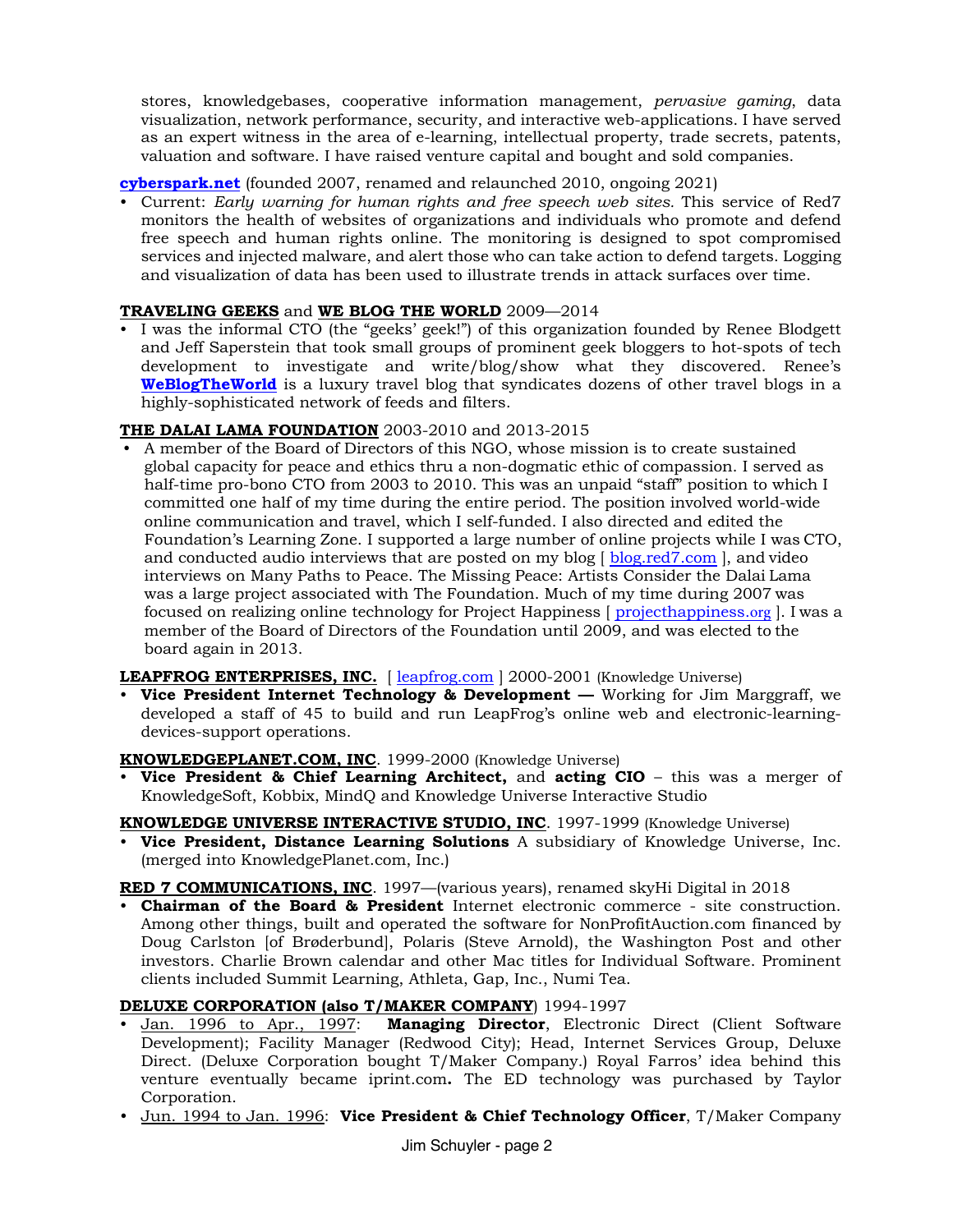stores, knowledgebases, cooperative information management, *pervasive gaming*, data visualization, network performance, security, and interactive web-applications. I have served as an expert witness in the area of e-learning, intellectual property, trade secrets, patents, valuation and software. I have raised venture capital and bought and sold companies.

# **[cyberspark.net](https://cyberspark.net/)** (founded 2007, renamed and relaunched 2010, ongoing 2021)

• Current: *Early warning for human rights and free speech web sites.* This service of Red7 monitors the health of websites of organizations and individuals who promote and defend free speech and human rights online. The monitoring is designed to spot compromised services and injected malware, and alert those who can take action to defend targets. Logging and visualization of data has been used to illustrate trends in attack surfaces over time.

# **TRAVELING GEEKS** and **WE BLOG THE WORLD** 2009—2014

• I was the informal CTO (the "geeks' geek!") of this organization founded by Renee Blodgett and Jeff Saperstein that took small groups of prominent geek bloggers to hot-spots of tech development to investigate and write/blog/show what they discovered. Renee's **[WeBlogTheWorld](https://weblogtheworld.com/)** is a luxury travel blog that syndicates dozens of other travel blogs in a highly-sophisticated network of feeds and filters.

## **THE DALAI LAMA FOUNDATION** 2003-2010 and 2013-2015

• A member of the Board of Directors of this NGO, whose mission is to create sustained global capacity for peace and ethics thru a non-dogmatic ethic of compassion. I served as half-time pro-bono CTO from 2003 to 2010. This was an unpaid "staff" position to which I committed one half of my time during the entire period. The position involved world-wide online communication and travel, which I self-funded. I also directed and edited the Foundation's Learning Zone. I supported a large number of online projects while I was CTO, and conducted audio interviews that are posted on my blog [ blog.red7.com ], and video interviews on Many Paths to Peace. The Missing Peace: Artists Co[nsider the Dalai](https://blog.red7.com/) Lama was a large project associated with The Foundation. Much of my time during 2007 was focused on realizing online technology for Project Happiness [ [projecthappiness.](https://projecthappiness.org/)org ]. I was a member of the Board of Directors of the Foundation until 2009, and was elected to the board again in 2013.

### **LEAPFROG ENTERPRISES, INC.** [\[ leapfrog.com](https://leapfrog.com/) ] 2000-2001 (Knowledge Universe)

• **Vice President Internet Technology & Development —** Working for Jim Marggraff, we developed a staff of 45 to build and run LeapFrog's online web and electronic-learningdevices-support operations.

### **KNOWLEDGEPLANET.COM, INC**. 1999-2000 (Knowledge Universe)

• **Vice President & Chief Learning Architect,** and **acting CIO** – this was a merger of KnowledgeSoft, Kobbix, MindQ and Knowledge Universe Interactive Studio

# **KNOWLEDGE UNIVERSE INTERACTIVE STUDIO, INC**. 1997-1999 (Knowledge Universe)

• **Vice President, Distance Learning Solutions** A subsidiary of Knowledge Universe, Inc. (merged into KnowledgePlanet.com, Inc.)

# RED 7 COMMUNICATIONS, INC. 1997—(various years), renamed skyHi Digital in 2018

• **Chairman of the Board & President** Internet electronic commerce - site construction. Among other things, built and operated the software for NonProfitAuction.com financed by Doug Carlston [of Brøderbund], Polaris (Steve Arnold), the Washington Post and other investors. Charlie Brown calendar and other Mac titles for Individual Software. Prominent clients included Summit Learning, Athleta, Gap, Inc., Numi Tea.

### **DELUXE CORPORATION (also T/MAKER COMPANY**) 1994-1997

- Jan. 1996 to Apr., 1997: **Managing Director**, Electronic Direct (Client Software Development); Facility Manager (Redwood City); Head, Internet Services Group, Deluxe Direct. (Deluxe Corporation bought T/Maker Company.) Royal Farros' idea behind this venture eventually became iprint.com**.** The ED technology was purchased by Taylor Corporation.
- Jun. 1994 to Jan. 1996: **Vice President & Chief Technology Officer**, T/Maker Company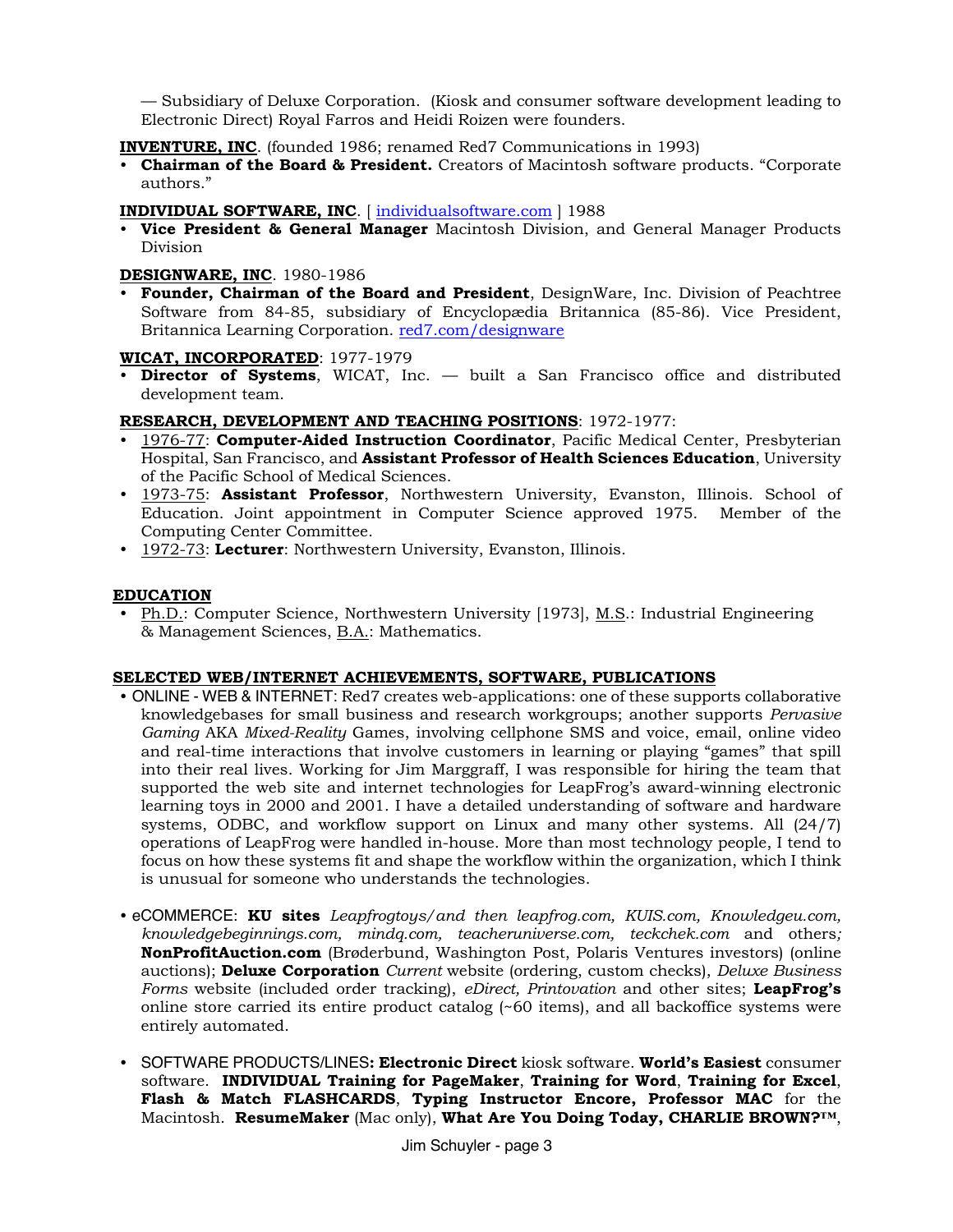— Subsidiary of Deluxe Corporation. (Kiosk and consumer software development leading to Electronic Direct) Royal Farros and Heidi Roizen were founders.

**INVENTURE, INC**. (founded 1986; renamed Red7 Communications in 1993)

• **Chairman of the Board & President.** Creators of Macintosh software products. "Corporate authors."

**INDIVIDUAL SOFTWARE, INC**. [ [individualsoftware.com](http://individualsoftware.com/) ] 1988

• **Vice President & General Manager** Macintosh Division, and General Manager Products Division

#### **DESIGNWARE, INC**. 1980-1986

• **Founder, Chairman of the Board and President**, DesignWare, Inc. Division of Peachtree Software from 84-85, subsidiary of Encyclopædia Britannica (85-86). Vice President, Britannica Learning Corporation. [red7.com/designware](https://red7.com/designware)

#### **WICAT, INCORPORATED**: 1977-1979

• **Director of Systems**, WICAT, Inc. — built a San Francisco office and distributed development team.

#### **RESEARCH, DEVELOPMENT AND TEACHING POSITIONS**: 1972-1977:

- 1976-77: **Computer-Aided Instruction Coordinator**, Pacific Medical Center, Presbyterian Hospital, San Francisco, and **Assistant Professor of Health Sciences Education**, University of the Pacific School of Medical Sciences.
- 1973-75: **Assistant Professor**, Northwestern University, Evanston, Illinois. School of Education. Joint appointment in Computer Science approved 1975. Member of the Computing Center Committee.
- 1972-73: **Lecturer**: Northwestern University, Evanston, Illinois.

#### **EDUCATION**

• Ph.D.: Computer Science, Northwestern University [1973], M.S.: Industrial Engineering & Management Sciences, B.A.: Mathematics.

#### **SELECTED WEB/INTERNET ACHIEVEMENTS, SOFTWARE, PUBLICATIONS**

- ONLINE WEB & INTERNET: Red7 creates web-applications: one of these supports collaborative knowledgebases for small business and research workgroups; another supports *Pervasive Gaming* AKA *Mixed-Reality* Games, involving cellphone SMS and voice, email, online video and real-time interactions that involve customers in learning or playing "games" that spill into their real lives. Working for Jim Marggraff, I was responsible for hiring the team that supported the web site and internet technologies for LeapFrog's award-winning electronic learning toys in 2000 and 2001. I have a detailed understanding of software and hardware systems, ODBC, and workflow support on Linux and many other systems. All (24/7) operations of LeapFrog were handled in-house. More than most technology people, I tend to focus on how these systems fit and shape the workflow within the organization, which I think is unusual for someone who understands the technologies.
- eCOMMERCE: **KU sites** *Leapfrogtoys/and then leapfrog.com, KUIS.com, Knowledgeu.com, knowledgebeginnings.com, mindq.com, teacheruniverse.com, teckchek.com* and others*;*  **NonProfitAuction.com** (Brøderbund, Washington Post, Polaris Ventures investors) (online auctions); **Deluxe Corporation** *Current* website (ordering, custom checks), *Deluxe Business Forms* website (included order tracking), *eDirect, Printovation* and other sites; **LeapFrog's** online store carried its entire product catalog  $(\sim 60$  items), and all backoffice systems were entirely automated.
- SOFTWARE PRODUCTS/LINES**: Electronic Direct** kiosk software. **World's Easiest** consumer software. **INDIVIDUAL Training for PageMaker**, **Training for Word**, **Training for Excel**, **Flash & Match FLASHCARDS**, **Typing Instructor Encore, Professor MAC** for the Macintosh. **ResumeMaker** (Mac only), **What Are You Doing Today, CHARLIE BROWN?™**,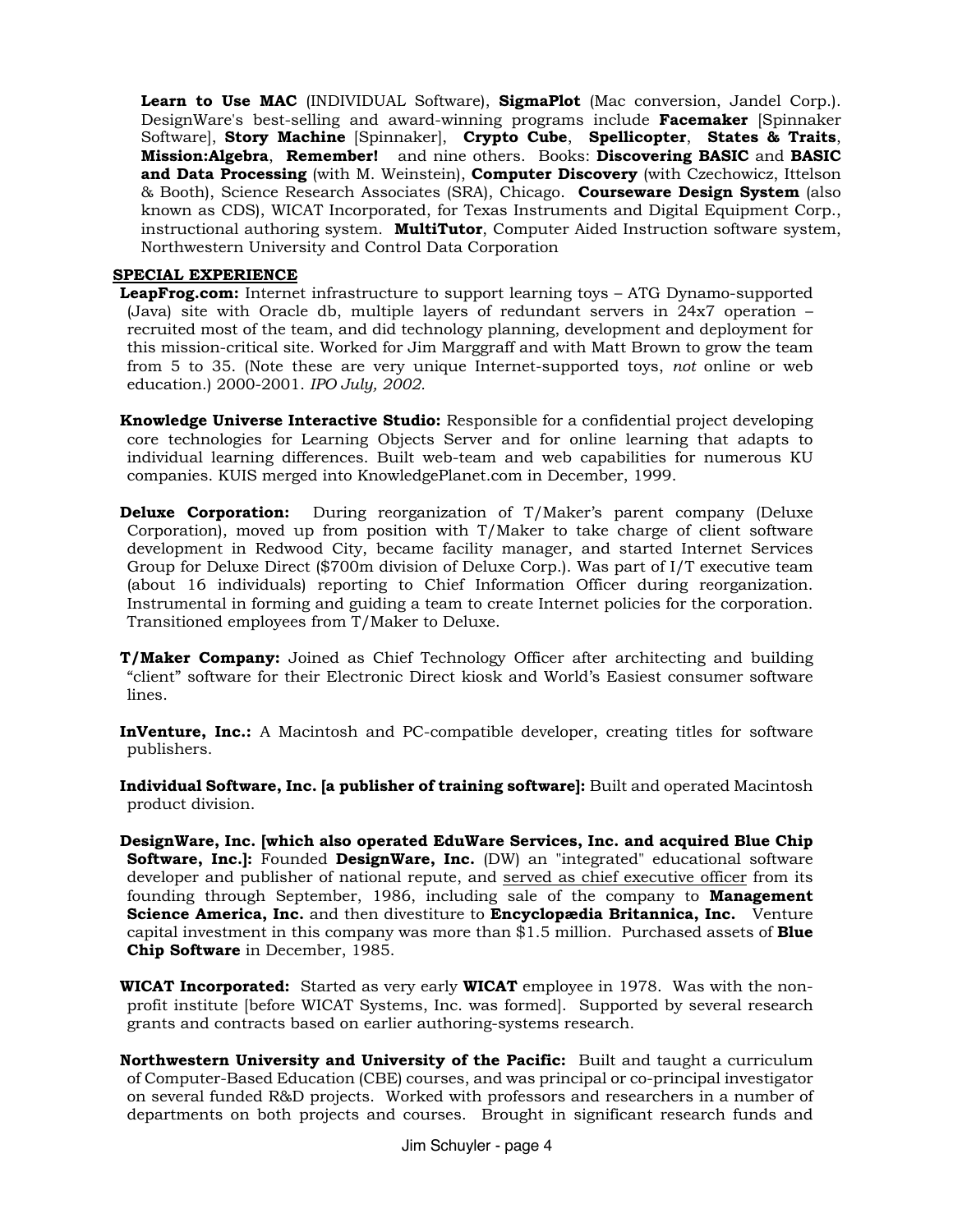**Learn to Use MAC** (INDIVIDUAL Software), **SigmaPlot** (Mac conversion, Jandel Corp.). DesignWare's best-selling and award-winning programs include **Facemaker** [Spinnaker Software], **Story Machine** [Spinnaker], **Crypto Cube**, **Spellicopter**, **States & Traits**, **Mission:Algebra**, **Remember!** and nine others. Books: **Discovering BASIC** and **BASIC and Data Processing** (with M. Weinstein), **Computer Discovery** (with Czechowicz, Ittelson & Booth), Science Research Associates (SRA), Chicago. **Courseware Design System** (also known as CDS), WICAT Incorporated, for Texas Instruments and Digital Equipment Corp., instructional authoring system. **MultiTutor**, Computer Aided Instruction software system, Northwestern University and Control Data Corporation

#### **SPECIAL EXPERIENCE**

**LeapFrog.com:** Internet infrastructure to support learning toys – ATG Dynamo-supported (Java) site with Oracle db, multiple layers of redundant servers in 24x7 operation – recruited most of the team, and did technology planning, development and deployment for this mission-critical site. Worked for Jim Marggraff and with Matt Brown to grow the team from 5 to 35. (Note these are very unique Internet-supported toys, *not* online or web education.) 2000-2001. *IPO July, 2002.*

**Knowledge Universe Interactive Studio:** Responsible for a confidential project developing core technologies for Learning Objects Server and for online learning that adapts to individual learning differences. Built web-team and web capabilities for numerous KU companies. KUIS merged into KnowledgePlanet.com in December, 1999.

- **Deluxe Corporation:** During reorganization of T/Maker's parent company (Deluxe Corporation), moved up from position with T/Maker to take charge of client software development in Redwood City, became facility manager, and started Internet Services Group for Deluxe Direct (\$700m division of Deluxe Corp.). Was part of I/T executive team (about 16 individuals) reporting to Chief Information Officer during reorganization. Instrumental in forming and guiding a team to create Internet policies for the corporation. Transitioned employees from T/Maker to Deluxe.
- **T/Maker Company:** Joined as Chief Technology Officer after architecting and building "client" software for their Electronic Direct kiosk and World's Easiest consumer software lines.

**InVenture, Inc.:** A Macintosh and PC-compatible developer, creating titles for software publishers.

**Individual Software, Inc. [a publisher of training software]:** Built and operated Macintosh product division.

- **DesignWare, Inc. [which also operated EduWare Services, Inc. and acquired Blue Chip Software, Inc.]:** Founded **DesignWare, Inc.** (DW) an "integrated" educational software developer and publisher of national repute, and served as chief executive officer from its founding through September, 1986, including sale of the company to **Management Science America, Inc.** and then divestiture to **Encyclopædia Britannica, Inc.** Venture capital investment in this company was more than \$1.5 million. Purchased assets of **Blue Chip Software** in December, 1985.
- **WICAT Incorporated:** Started as very early **WICAT** employee in 1978. Was with the nonprofit institute [before WICAT Systems, Inc. was formed]. Supported by several research grants and contracts based on earlier authoring-systems research.
- **Northwestern University and University of the Pacific:** Built and taught a curriculum of Computer-Based Education (CBE) courses, and was principal or co-principal investigator on several funded R&D projects. Worked with professors and researchers in a number of departments on both projects and courses. Brought in significant research funds and